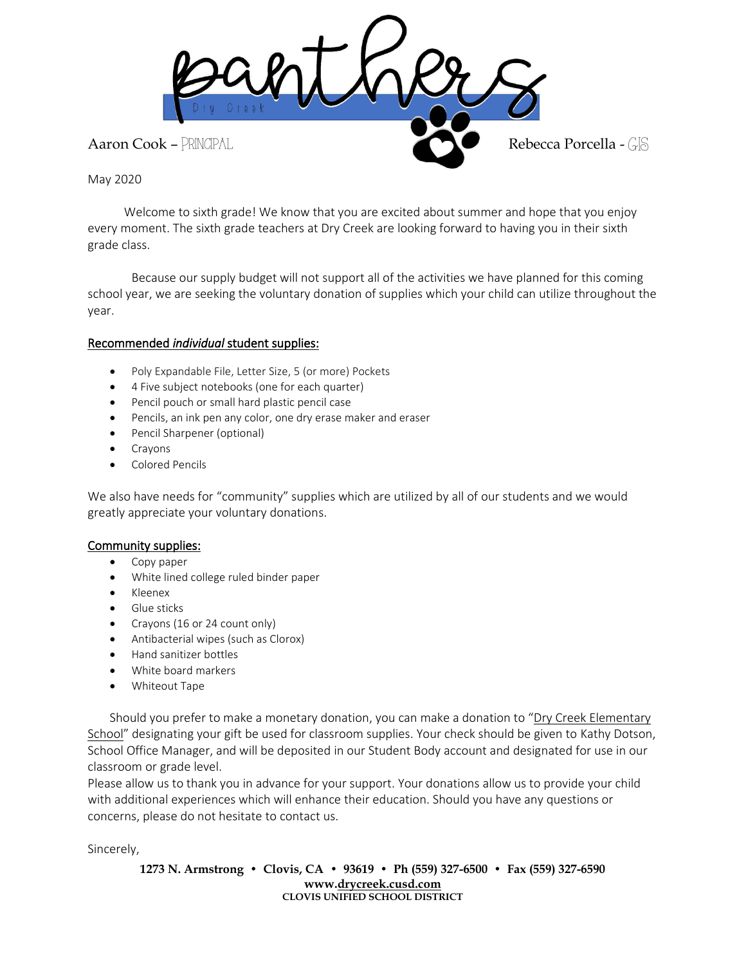

May 2020

 Welcome to sixth grade! We know that you are excited about summer and hope that you enjoy every moment. The sixth grade teachers at Dry Creek are looking forward to having you in their sixth grade class.

Because our supply budget will not support all of the activities we have planned for this coming school year, we are seeking the voluntary donation of supplies which your child can utilize throughout the year.

## Recommended *individual* student supplies:

- Poly Expandable File, Letter Size, 5 (or more) Pockets
- 4 Five subject notebooks (one for each quarter)
- Pencil pouch or small hard plastic pencil case
- Pencils, an ink pen any color, one dry erase maker and eraser
- Pencil Sharpener (optional)
- Crayons
- Colored Pencils

We also have needs for "community" supplies which are utilized by all of our students and we would greatly appreciate your voluntary donations.

## Community supplies:

- Copy paper
- White lined college ruled binder paper
- Kleenex
- Glue sticks
- Crayons (16 or 24 count only)
- Antibacterial wipes (such as Clorox)
- Hand sanitizer bottles
- White board markers
- Whiteout Tape

Should you prefer to make a monetary donation, you can make a donation to "Dry Creek Elementary School" designating your gift be used for classroom supplies. Your check should be given to Kathy Dotson, School Office Manager, and will be deposited in our Student Body account and designated for use in our classroom or grade level.

Please allow us to thank you in advance for your support. Your donations allow us to provide your child with additional experiences which will enhance their education. Should you have any questions or concerns, please do not hesitate to contact us.

Sincerely,

**1273 N. Armstrong • Clovis, CA • 93619 • Ph (559) 327-6500 • Fax (559) 327-6590 www[.drycreek.cusd.com](http://drycreek.cusd.com/) CLOVIS UNIFIED SCHOOL DISTRICT**